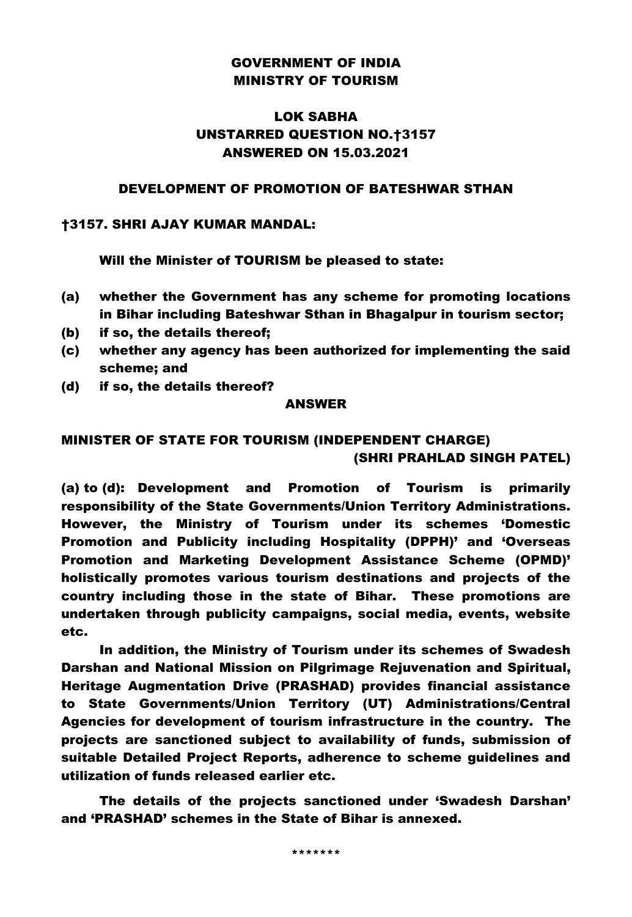### GOVERNMENT OF INDIA MINISTRY OF TOURISM

# LOK SABHA UNSTARRED QUESTION NO.†3157 ANSWERED ON 15.03.2021

### DEVELOPMENT OF PROMOTION OF BATESHWAR STHAN

#### †3157. SHRI AJAY KUMAR MANDAL:

Will the Minister of TOURISM be pleased to state:

- (a) whether the Government has any scheme for promoting locations in Bihar including Bateshwar Sthan in Bhagalpur in tourism sector;
- (b) if so, the details thereof;
- (c) whether any agency has been authorized for implementing the said scheme; and
- (d) if so, the details thereof?

#### ANSWER

# MINISTER OF STATE FOR TOURISM (INDEPENDENT CHARGE) (SHRI PRAHLAD SINGH PATEL)

(a) to (d): Development and Promotion of Tourism is primarily responsibility of the State Governments/Union Territory Administrations. However, the Ministry of Tourism under its schemes 'Domestic Promotion and Publicity including Hospitality (DPPH)' and 'Overseas Promotion and Marketing Development Assistance Scheme (OPMD)' holistically promotes various tourism destinations and projects of the country including those in the state of Bihar. These promotions are undertaken through publicity campaigns, social media, events, website etc.

In addition, the Ministry of Tourism under its schemes of Swadesh Darshan and National Mission on Pilgrimage Rejuvenation and Spiritual, Heritage Augmentation Drive (PRASHAD) provides financial assistance to State Governments/Union Territory (UT) Administrations/Central Agencies for development of tourism infrastructure in the country. The projects are sanctioned subject to availability of funds, submission of suitable Detailed Project Reports, adherence to scheme guidelines and utilization of funds released earlier etc.

The details of the projects sanctioned under 'Swadesh Darshan' and 'PRASHAD' schemes in the State of Bihar is annexed.

\*\*\*\*\*\*\*